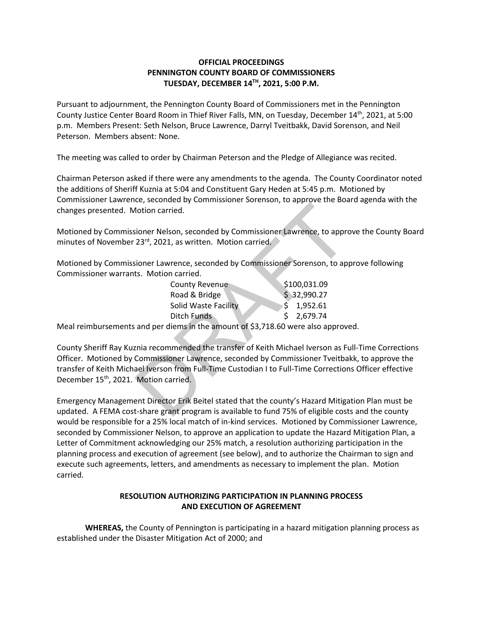## **OFFICIAL PROCEEDINGS PENNINGTON COUNTY BOARD OF COMMISSIONERS TUESDAY, DECEMBER 14TH , 2021, 5:00 P.M.**

Pursuant to adjournment, the Pennington County Board of Commissioners met in the Pennington County Justice Center Board Room in Thief River Falls, MN, on Tuesday, December 14<sup>th</sup>, 2021, at 5:00 p.m. Members Present: Seth Nelson, Bruce Lawrence, Darryl Tveitbakk, David Sorenson, and Neil Peterson. Members absent: None.

The meeting was called to order by Chairman Peterson and the Pledge of Allegiance was recited.

Chairman Peterson asked if there were any amendments to the agenda. The County Coordinator noted the additions of Sheriff Kuznia at 5:04 and Constituent Gary Heden at 5:45 p.m. Motioned by Commissioner Lawrence, seconded by Commissioner Sorenson, to approve the Board agenda with the changes presented. Motion carried.

Motioned by Commissioner Nelson, seconded by Commissioner Lawrence, to approve the County Board minutes of November 23<sup>rd</sup>, 2021, as written. Motion carried.

Motioned by Commissioner Lawrence, seconded by Commissioner Sorenson, to approve following Commissioner warrants. Motion carried.

| County Revenue       | \$100,031.09 |
|----------------------|--------------|
| Road & Bridge        | \$32,990.27  |
| Solid Waste Facility | \$ 1,952.61  |
| Ditch Funds          | \$2,679.74   |

Meal reimbursements and per diems in the amount of \$3,718.60 were also approved.

County Sheriff Ray Kuznia recommended the transfer of Keith Michael Iverson as Full-Time Corrections Officer. Motioned by Commissioner Lawrence, seconded by Commissioner Tveitbakk, to approve the transfer of Keith Michael Iverson from Full-Time Custodian I to Full-Time Corrections Officer effective December 15<sup>th</sup>, 2021. Motion carried. Motion carried.<br>
Sioner Nelson, seconded by Commissioner Lawrence, to approval and the set and set allows are the sion carried.<br>
Sioner Lawrence, seconded by Commissioner Sorenson, to approval the sioner Lawrence, seconded

Emergency Management Director Erik Beitel stated that the county's Hazard Mitigation Plan must be updated. A FEMA cost-share grant program is available to fund 75% of eligible costs and the county would be responsible for a 25% local match of in-kind services. Motioned by Commissioner Lawrence, seconded by Commissioner Nelson, to approve an application to update the Hazard Mitigation Plan, a Letter of Commitment acknowledging our 25% match, a resolution authorizing participation in the planning process and execution of agreement (see below), and to authorize the Chairman to sign and execute such agreements, letters, and amendments as necessary to implement the plan. Motion carried.

## **RESOLUTION AUTHORIZING PARTICIPATION IN PLANNING PROCESS AND EXECUTION OF AGREEMENT**

**WHEREAS,** the County of Pennington is participating in a hazard mitigation planning process as established under the Disaster Mitigation Act of 2000; and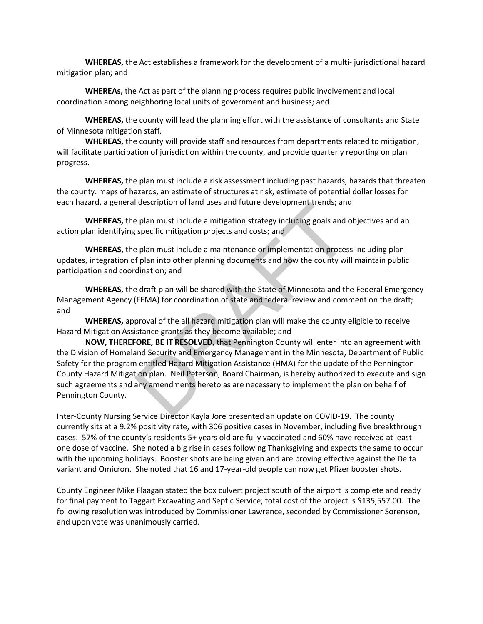**WHEREAS,** the Act establishes a framework for the development of a multi- jurisdictional hazard mitigation plan; and

**WHEREAs,** the Act as part of the planning process requires public involvement and local coordination among neighboring local units of government and business; and

**WHEREAS,** the county will lead the planning effort with the assistance of consultants and State of Minnesota mitigation staff.

**WHEREAS,** the county will provide staff and resources from departments related to mitigation, will facilitate participation of jurisdiction within the county, and provide quarterly reporting on plan progress.

**WHEREAS,** the plan must include a risk assessment including past hazards, hazards that threaten the county. maps of hazards, an estimate of structures at risk, estimate of potential dollar losses for each hazard, a general description of land uses and future development trends; and

**WHEREAS,** the plan must include a mitigation strategy including goals and objectives and an action plan identifying specific mitigation projects and costs; and

**WHEREAS,** the plan must include a maintenance or implementation process including plan updates, integration of plan into other planning documents and how the county will maintain public participation and coordination; and

**WHEREAS,** the draft plan will be shared with the State of Minnesota and the Federal Emergency Management Agency (FEMA) for coordination of state and federal review and comment on the draft; and

**WHEREAS,** approval of the all hazard mitigation plan will make the county eligible to receive Hazard Mitigation Assistance grants as they become available; and

**NOW, THEREFORE, BE IT RESOLVED**, that Pennington County will enter into an agreement with the Division of Homeland Security and Emergency Management in the Minnesota, Department of Public Safety for the program entitled Hazard Mitigation Assistance (HMA) for the update of the Pennington County Hazard Mitigation plan. Neil Peterson, Board Chairman, is hereby authorized to execute and sign such agreements and any amendments hereto as are necessary to implement the plan on behalf of Pennington County. e plan must include a mitigation strategy including goals and is pecific mitigation projects and costs; and<br>e plan must include a maintenance or implementation proces<br>f plan into other planning documents and how the county

Inter-County Nursing Service Director Kayla Jore presented an update on COVID-19. The county currently sits at a 9.2% positivity rate, with 306 positive cases in November, including five breakthrough cases. 57% of the county's residents 5+ years old are fully vaccinated and 60% have received at least one dose of vaccine. She noted a big rise in cases following Thanksgiving and expects the same to occur with the upcoming holidays. Booster shots are being given and are proving effective against the Delta variant and Omicron. She noted that 16 and 17-year-old people can now get Pfizer booster shots.

County Engineer Mike Flaagan stated the box culvert project south of the airport is complete and ready for final payment to Taggart Excavating and Septic Service; total cost of the project is \$135,557.00. The following resolution was introduced by Commissioner Lawrence, seconded by Commissioner Sorenson, and upon vote was unanimously carried.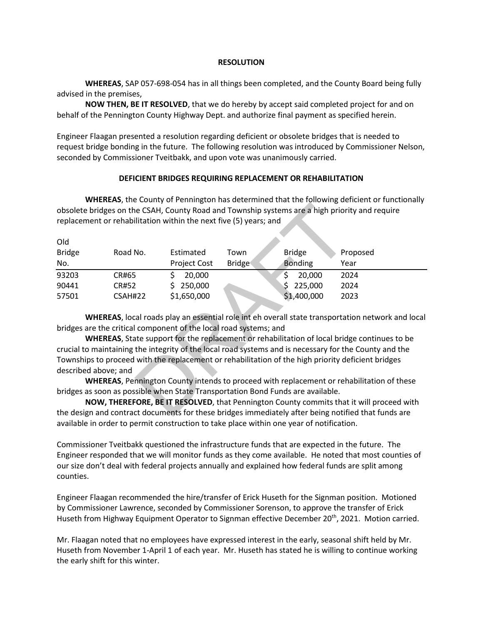### **RESOLUTION**

**WHEREAS**, SAP 057-698-054 has in all things been completed, and the County Board being fully advised in the premises,

**NOW THEN, BE IT RESOLVED**, that we do hereby by accept said completed project for and on behalf of the Pennington County Highway Dept. and authorize final payment as specified herein.

Engineer Flaagan presented a resolution regarding deficient or obsolete bridges that is needed to request bridge bonding in the future. The following resolution was introduced by Commissioner Nelson, seconded by Commissioner Tveitbakk, and upon vote was unanimously carried.

### **DEFICIENT BRIDGES REQUIRING REPLACEMENT OR REHABILITATION**

**WHEREAS**, the County of Pennington has determined that the following deficient or functionally obsolete bridges on the CSAH, County Road and Township systems are a high priority and require replacement or rehabilitation within the next five (5) years; and

| obsolete bridges on the CSAH, County Road and Township systems are a high priority and require<br>replacement or rehabilitation within the next five (5) years; and                                                                                                            |              |               |               |                                                                                 |          |
|--------------------------------------------------------------------------------------------------------------------------------------------------------------------------------------------------------------------------------------------------------------------------------|--------------|---------------|---------------|---------------------------------------------------------------------------------|----------|
| Old                                                                                                                                                                                                                                                                            |              |               |               |                                                                                 |          |
| <b>Bridge</b>                                                                                                                                                                                                                                                                  | Road No.     | Estimated     | Town          | <b>Bridge</b>                                                                   | Proposed |
| No.                                                                                                                                                                                                                                                                            |              | Project Cost  | <b>Bridge</b> | <b>Bonding</b>                                                                  | Year     |
| 93203                                                                                                                                                                                                                                                                          | CR#65        | Ś.<br>20,000  |               | Ś.<br>20,000                                                                    | 2024     |
| 90441                                                                                                                                                                                                                                                                          | <b>CR#52</b> | 250,000<br>S. |               | 225,000<br>\$                                                                   | 2024     |
| 57501                                                                                                                                                                                                                                                                          | CSAH#22      | \$1,650,000   |               | \$1,400,000                                                                     | 2023     |
| WHEREAS, local roads play an essential role int eh overall state transportation network and local<br>bridges are the critical component of the local road systems; and<br><b>WHEREAS</b> , State support for the replacement or rehabilitation of local bridge continues to be |              |               |               |                                                                                 |          |
| crucial to maintaining the integrity of the local road systems and is necessary for the County and the                                                                                                                                                                         |              |               |               |                                                                                 |          |
| Townships to proceed with the replacement or rehabilitation of the high priority deficient bridges                                                                                                                                                                             |              |               |               |                                                                                 |          |
| described above; and                                                                                                                                                                                                                                                           |              |               |               |                                                                                 |          |
| <b>WHEREAS, Pennington County intends to proceed with replacement or rehabilitation of these</b>                                                                                                                                                                               |              |               |               |                                                                                 |          |
|                                                                                                                                                                                                                                                                                |              |               |               | bridges as soon as possible when State Transportation Bond Funds are available. |          |
| NOW, THEREFORE, BE IT RESOLVED, that Pennington County commits that it will proceed with                                                                                                                                                                                       |              |               |               |                                                                                 |          |
| the design and contract documents for these bridges immediately after being notified that funds are                                                                                                                                                                            |              |               |               |                                                                                 |          |

**NOW, THEREFORE, BE IT RESOLVED**, that Pennington County commits that it will proceed with the design and contract documents for these bridges immediately after being notified that funds are available in order to permit construction to take place within one year of notification.

Commissioner Tveitbakk questioned the infrastructure funds that are expected in the future. The Engineer responded that we will monitor funds as they come available. He noted that most counties of our size don't deal with federal projects annually and explained how federal funds are split among counties.

Engineer Flaagan recommended the hire/transfer of Erick Huseth for the Signman position. Motioned by Commissioner Lawrence, seconded by Commissioner Sorenson, to approve the transfer of Erick Huseth from Highway Equipment Operator to Signman effective December 20<sup>th</sup>, 2021. Motion carried.

Mr. Flaagan noted that no employees have expressed interest in the early, seasonal shift held by Mr. Huseth from November 1-April 1 of each year. Mr. Huseth has stated he is willing to continue working the early shift for this winter.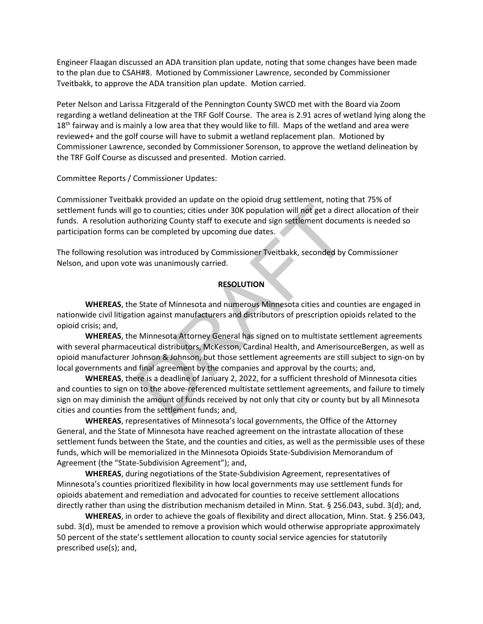Engineer Flaagan discussed an ADA transition plan update, noting that some changes have been made to the plan due to CSAH#8. Motioned by Commissioner Lawrence, seconded by Commissioner Tveitbakk, to approve the ADA transition plan update. Motion carried.

Peter Nelson and Larissa Fitzgerald of the Pennington County SWCD met with the Board via Zoom regarding a wetland delineation at the TRF Golf Course. The area is 2.91 acres of wetland lying along the 18<sup>th</sup> fairway and is mainly a low area that they would like to fill. Maps of the wetland and area were reviewed+ and the golf course will have to submit a wetland replacement plan. Motioned by Commissioner Lawrence, seconded by Commissioner Sorenson, to approve the wetland delineation by the TRF Golf Course as discussed and presented. Motion carried.

Committee Reports / Commissioner Updates:

Commissioner Tveitbakk provided an update on the opioid drug settlement, noting that 75% of settlement funds will go to counties; cities under 30K population will not get a direct allocation of their funds. A resolution authorizing County staff to execute and sign settlement documents is needed so participation forms can be completed by upcoming due dates.

The following resolution was introduced by Commissioner Tveitbakk, seconded by Commissioner Nelson, and upon vote was unanimously carried.

### **RESOLUTION**

**WHEREAS**, the State of Minnesota and numerous Minnesota cities and counties are engaged in nationwide civil litigation against manufacturers and distributors of prescription opioids related to the opioid crisis; and,

**WHEREAS**, the Minnesota Attorney General has signed on to multistate settlement agreements with several pharmaceutical distributors, McKesson, Cardinal Health, and AmerisourceBergen, as well as opioid manufacturer Johnson & Johnson, but those settlement agreements are still subject to sign-on by local governments and final agreement by the companies and approval by the courts; and, man processor and significant and sign settlement documn be completed by upcoming due dates.<br>
Section the completed by upcoming due dates.<br>
DRAFT Are excepted by upcoming due dates.<br>
DRAFT Are exact and sign settlement doc

**WHEREAS**, there is a deadline of January 2, 2022, for a sufficient threshold of Minnesota cities and counties to sign on to the above-referenced multistate settlement agreements, and failure to timely sign on may diminish the amount of funds received by not only that city or county but by all Minnesota cities and counties from the settlement funds; and,

**WHEREAS**, representatives of Minnesota's local governments, the Office of the Attorney General, and the State of Minnesota have reached agreement on the intrastate allocation of these settlement funds between the State, and the counties and cities, as well as the permissible uses of these funds, which will be memorialized in the Minnesota Opioids State-Subdivision Memorandum of Agreement (the "State-Subdivision Agreement"); and,

**WHEREAS**, during negotiations of the State-Subdivision Agreement, representatives of Minnesota's counties prioritized flexibility in how local governments may use settlement funds for opioids abatement and remediation and advocated for counties to receive settlement allocations directly rather than using the distribution mechanism detailed in Minn. Stat. § 256.043, subd. 3(d); and,

**WHEREAS**, in order to achieve the goals of flexibility and direct allocation, Minn. Stat. § 256.043, subd. 3(d), must be amended to remove a provision which would otherwise appropriate approximately 50 percent of the state's settlement allocation to county social service agencies for statutorily prescribed use(s); and,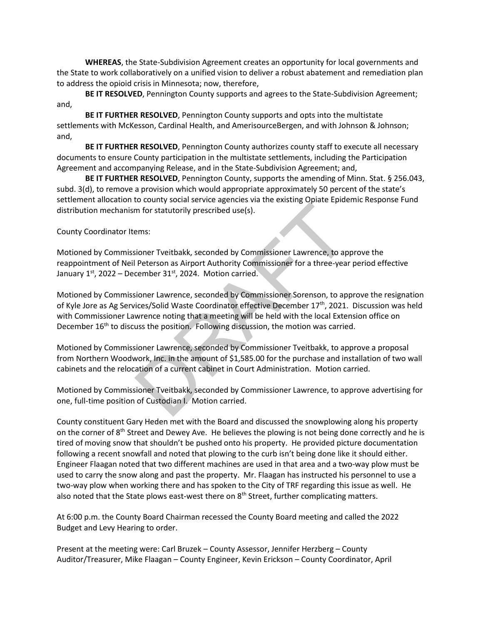**WHEREAS**, the State-Subdivision Agreement creates an opportunity for local governments and the State to work collaboratively on a unified vision to deliver a robust abatement and remediation plan to address the opioid crisis in Minnesota; now, therefore,

**BE IT RESOLVED**, Pennington County supports and agrees to the State-Subdivision Agreement; and,

**BE IT FURTHER RESOLVED**, Pennington County supports and opts into the multistate settlements with McKesson, Cardinal Health, and AmerisourceBergen, and with Johnson & Johnson; and,

**BE IT FURTHER RESOLVED**, Pennington County authorizes county staff to execute all necessary documents to ensure County participation in the multistate settlements, including the Participation Agreement and accompanying Release, and in the State-Subdivision Agreement; and,

**BE IT FURTHER RESOLVED**, Pennington County, supports the amending of Minn. Stat. § 256.043, subd. 3(d), to remove a provision which would appropriate approximately 50 percent of the state's settlement allocation to county social service agencies via the existing Opiate Epidemic Response Fund distribution mechanism for statutorily prescribed use(s).

## County Coordinator Items:

Motioned by Commissioner Tveitbakk, seconded by Commissioner Lawrence, to approve the reappointment of Neil Peterson as Airport Authority Commissioner for a three-year period effective January  $1^{st}$ , 2022 – December 31 $^{st}$ , 2024. Motion carried.

Motioned by Commissioner Lawrence, seconded by Commissioner Sorenson, to approve the resignation of Kyle Jore as Ag Services/Solid Waste Coordinator effective December 17<sup>th</sup>, 2021. Discussion was held with Commissioner Lawrence noting that a meeting will be held with the local Extension office on December 16<sup>th</sup> to discuss the position. Following discussion, the motion was carried. or the transformal and the purchase and internal content Territoner Territoner Territoner Territoner Territone<br>
Element Territoner Safety Authority Commissioner for a three-year<br>
cember 31<sup>st</sup>, 2024. Motion carried.<br>
Sione

Motioned by Commissioner Lawrence, seconded by Commissioner Tveitbakk, to approve a proposal from Northern Woodwork, Inc. in the amount of \$1,585.00 for the purchase and installation of two wall cabinets and the relocation of a current cabinet in Court Administration. Motion carried.

Motioned by Commissioner Tveitbakk, seconded by Commissioner Lawrence, to approve advertising for one, full-time position of Custodian I. Motion carried.

County constituent Gary Heden met with the Board and discussed the snowplowing along his property on the corner of 8<sup>th</sup> Street and Dewey Ave. He believes the plowing is not being done correctly and he is tired of moving snow that shouldn't be pushed onto his property. He provided picture documentation following a recent snowfall and noted that plowing to the curb isn't being done like it should either. Engineer Flaagan noted that two different machines are used in that area and a two-way plow must be used to carry the snow along and past the property. Mr. Flaagan has instructed his personnel to use a two-way plow when working there and has spoken to the City of TRF regarding this issue as well. He also noted that the State plows east-west there on 8<sup>th</sup> Street, further complicating matters.

At 6:00 p.m. the County Board Chairman recessed the County Board meeting and called the 2022 Budget and Levy Hearing to order.

Present at the meeting were: Carl Bruzek – County Assessor, Jennifer Herzberg – County Auditor/Treasurer, Mike Flaagan – County Engineer, Kevin Erickson – County Coordinator, April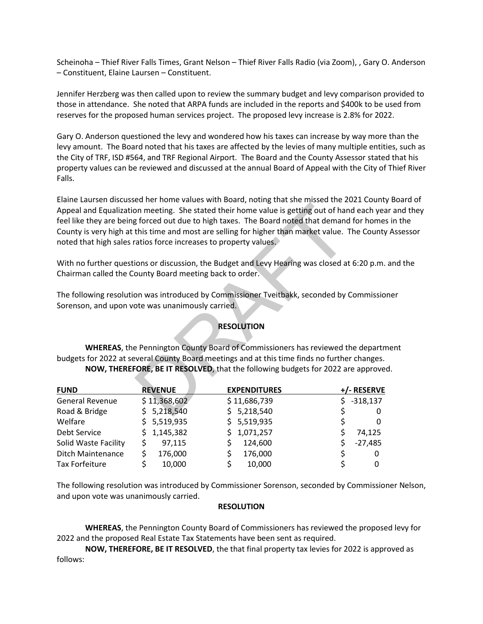Scheinoha – Thief River Falls Times, Grant Nelson – Thief River Falls Radio (via Zoom), , Gary O. Anderson – Constituent, Elaine Laursen – Constituent.

Jennifer Herzberg was then called upon to review the summary budget and levy comparison provided to those in attendance. She noted that ARPA funds are included in the reports and \$400k to be used from reserves for the proposed human services project. The proposed levy increase is 2.8% for 2022.

Gary O. Anderson questioned the levy and wondered how his taxes can increase by way more than the levy amount. The Board noted that his taxes are affected by the levies of many multiple entities, such as the City of TRF, ISD #564, and TRF Regional Airport. The Board and the County Assessor stated that his property values can be reviewed and discussed at the annual Board of Appeal with the City of Thief River Falls.

Elaine Laursen discussed her home values with Board, noting that she missed the 2021 County Board of Appeal and Equalization meeting. She stated their home value is getting out of hand each year and they feel like they are being forced out due to high taxes. The Board noted that demand for homes in the County is very high at this time and most are selling for higher than market value. The County Assessor noted that high sales ratios force increases to property values. on meeting. She stated their home value is getting out of hand forced out due to high taxes. The Board noted that demand<br>this time and most are selling for higher than market value. The stated that demand<br>this time and mos

With no further questions or discussion, the Budget and Levy Hearing was closed at 6:20 p.m. and the Chairman called the County Board meeting back to order.

The following resolution was introduced by Commissioner Tveitbakk, seconded by Commissioner Sorenson, and upon vote was unanimously carried.

### **RESOLUTION**

**WHEREAS**, the Pennington County Board of Commissioners has reviewed the department budgets for 2022 at several County Board meetings and at this time finds no further changes. **NOW, THEREFORE, BE IT RESOLVED**, that the following budgets for 2022 are approved.

| <b>FUND</b>              | <b>REVENUE</b> | <b>EXPENDITURES</b> | +/- RESERVE |
|--------------------------|----------------|---------------------|-------------|
| General Revenue          | \$11,368,602   | \$11,686,739        | $-318,137$  |
| Road & Bridge            | \$5,218,540    | \$5,218,540         |             |
| Welfare                  | \$5,519,935    | \$5,519,935         |             |
| Debt Service             | \$1,145,382    | \$1,071,257         | 74,125      |
| Solid Waste Facility     | 97,115         | 124,600             | $-27,485$   |
| <b>Ditch Maintenance</b> | 176,000        | 176,000             | 0           |
| Tax Forfeiture           | 10,000         | 10,000              | 0           |

The following resolution was introduced by Commissioner Sorenson, seconded by Commissioner Nelson, and upon vote was unanimously carried.

### **RESOLUTION**

**WHEREAS**, the Pennington County Board of Commissioners has reviewed the proposed levy for 2022 and the proposed Real Estate Tax Statements have been sent as required.

**NOW, THEREFORE, BE IT RESOLVED**, the that final property tax levies for 2022 is approved as follows: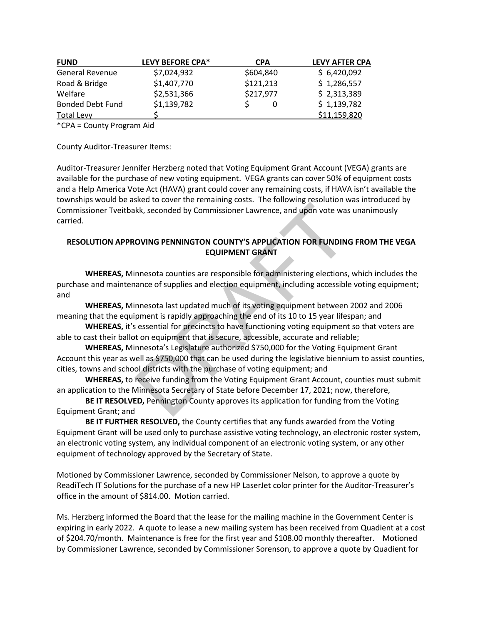| <b>FUND</b>             | LEVY BEFORE CPA* | <b>CPA</b> | LEVY AFTER CPA |
|-------------------------|------------------|------------|----------------|
| <b>General Revenue</b>  | \$7,024,932      | \$604,840  | \$6,420,092    |
| Road & Bridge           | \$1,407,770      | \$121,213  | \$1,286,557    |
| Welfare                 | \$2,531,366      | \$217,977  | \$2,313,389    |
| <b>Bonded Debt Fund</b> | \$1,139,782      |            | \$1,139,782    |
| <b>Total Levy</b>       |                  |            | \$11,159,820   |

\*CPA = County Program Aid

County Auditor-Treasurer Items:

Auditor-Treasurer Jennifer Herzberg noted that Voting Equipment Grant Account (VEGA) grants are available for the purchase of new voting equipment. VEGA grants can cover 50% of equipment costs and a Help America Vote Act (HAVA) grant could cover any remaining costs, if HAVA isn't available the townships would be asked to cover the remaining costs. The following resolution was introduced by Commissioner Tveitbakk, seconded by Commissioner Lawrence, and upon vote was unanimously carried.

# **RESOLUTION APPROVING PENNINGTON COUNTY'S APPLICATION FOR FUNDING FROM THE VEGA EQUIPMENT GRANT**

**WHEREAS,** Minnesota counties are responsible for administering elections, which includes the purchase and maintenance of supplies and election equipment, including accessible voting equipment; and

**WHEREAS,** Minnesota last updated much of its voting equipment between 2002 and 2006 meaning that the equipment is rapidly approaching the end of its 10 to 15 year lifespan; and

**WHEREAS,** it's essential for precincts to have functioning voting equipment so that voters are able to cast their ballot on equipment that is secure, accessible, accurate and reliable;

**WHEREAS,** Minnesota's Legislature authorized \$750,000 for the Voting Equipment Grant Account this year as well as \$750,000 that can be used during the legislative biennium to assist counties, cities, towns and school districts with the purchase of voting equipment; and kk, seconded by Commissioner Lawrence, and upon vote was<br>
OVING PENNINGTON COUNTY'S APPLICATION FOR FUNDING<br>
EQUIPMENT GRANT<br>
IMESTABLY TO COUNTY'S APPLICATION FOR FUNDING<br>
EQUIPMENT GRANT<br>
IMESTABLY TO COUNTY'S APPLICATIO

**WHEREAS,** to receive funding from the Voting Equipment Grant Account, counties must submit an application to the Minnesota Secretary of State before December 17, 2021; now, therefore,

**BE IT RESOLVED,** Pennington County approves its application for funding from the Voting Equipment Grant; and

**BE IT FURTHER RESOLVED,** the County certifies that any funds awarded from the Voting Equipment Grant will be used only to purchase assistive voting technology, an electronic roster system, an electronic voting system, any individual component of an electronic voting system, or any other equipment of technology approved by the Secretary of State.

Motioned by Commissioner Lawrence, seconded by Commissioner Nelson, to approve a quote by ReadiTech IT Solutions for the purchase of a new HP LaserJet color printer for the Auditor-Treasurer's office in the amount of \$814.00. Motion carried.

Ms. Herzberg informed the Board that the lease for the mailing machine in the Government Center is expiring in early 2022. A quote to lease a new mailing system has been received from Quadient at a cost of \$204.70/month. Maintenance is free for the first year and \$108.00 monthly thereafter. Motioned by Commissioner Lawrence, seconded by Commissioner Sorenson, to approve a quote by Quadient for